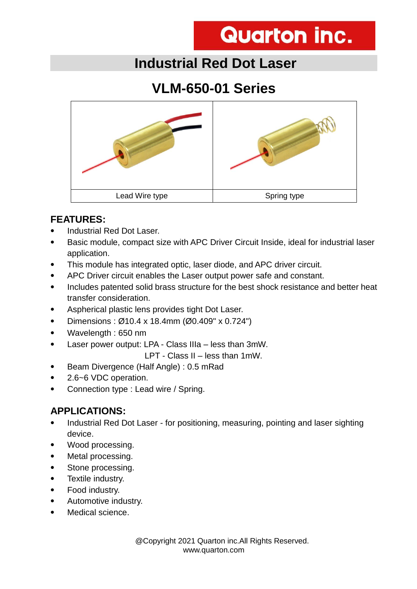# **Quarton inc.**

## **Industrial Red Dot Laser**

## **VLM-650-01 Series**



#### **FEATURES:**

- Industrial Red Dot Laser.
- Basic module, compact size with APC Driver Circuit Inside, ideal for industrial laser application.
- This module has integrated optic, laser diode, and APC driver circuit.
- APC Driver circuit enables the Laser output power safe and constant.
- Includes patented solid brass structure for the best shock resistance and better heat transfer consideration.
- Aspherical plastic lens provides tight Dot Laser.
- Dimensions :  $\varnothing$ 10.4 x 18.4mm ( $\varnothing$ 0.409" x 0.724")
- Wavelength : 650 nm
- Laser power output: LPA Class IIIa less than 3mW.

LPT - Class II – less than 1mW.

- Beam Divergence (Half Angle) : 0.5 mRad
- 2.6~6 VDC operation.
- Connection type : Lead wire / Spring.

### **APPLICATIONS:**

- Industrial Red Dot Laser for positioning, measuring, pointing and laser sighting device.
- Wood processing.
- Metal processing.
- Stone processing.
- Textile industry.
- Food industry.
- Automotive industry.
- Medical science.

 @Copyright 2021 Quarton inc.All Rights Reserved. www.quarton.com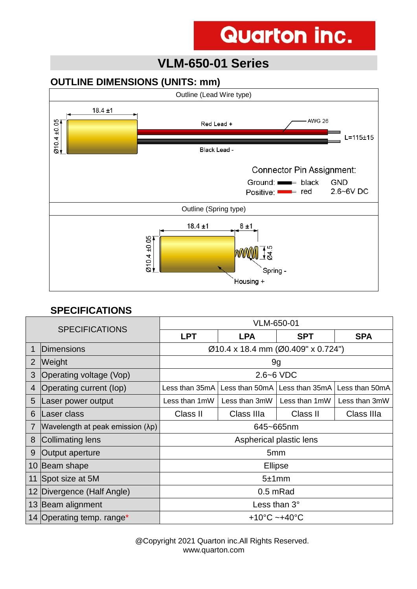# **Quarton inc.**

### **VLM-650-01 Series**

#### **OUTLINE DIMENSIONS (UNITS: mm)**



#### **SPECIFICATIONS**

| <b>SPECIFICATIONS</b> |                                  | VLM-650-01                         |               |                                                  |               |
|-----------------------|----------------------------------|------------------------------------|---------------|--------------------------------------------------|---------------|
|                       |                                  | <b>LPT</b>                         | <b>LPA</b>    | <b>SPT</b>                                       | <b>SPA</b>    |
|                       | Dimensions                       | Ø10.4 x 18.4 mm (Ø0.409" x 0.724") |               |                                                  |               |
| 2                     | <b>Weight</b>                    | 9g                                 |               |                                                  |               |
| 3                     | Operating voltage (Vop)          | $2.6 - 6$ VDC                      |               |                                                  |               |
| 4                     | Operating current (lop)          | Less than 35mA                     |               | Less than 50mA   Less than 35mA   Less than 50mA |               |
| 5                     | Laser power output               | Less than 1mW                      | Less than 3mW | Less than 1mW                                    | Less than 3mW |
| 6                     | Laser class                      | Class II                           | Class IIIa    | Class II                                         | Class IIIa    |
|                       | Wavelength at peak emission (λp) | 645~665nm                          |               |                                                  |               |
| 8                     | Collimating lens                 | Aspherical plastic lens            |               |                                                  |               |
| 9                     | Output aperture                  | 5 <sub>mm</sub>                    |               |                                                  |               |
|                       | 10 Beam shape                    | <b>Ellipse</b>                     |               |                                                  |               |
|                       | 11 Spot size at 5M               | 5±1mm                              |               |                                                  |               |
|                       | 12 Divergence (Half Angle)       | 0.5 mRad                           |               |                                                  |               |
|                       | 13 Beam alignment                | Less than 3°                       |               |                                                  |               |
|                       | 14 Operating temp. range*        | +10 $^{\circ}$ C ~+40 $^{\circ}$ C |               |                                                  |               |

 @Copyright 2021 Quarton inc.All Rights Reserved. www.quarton.com